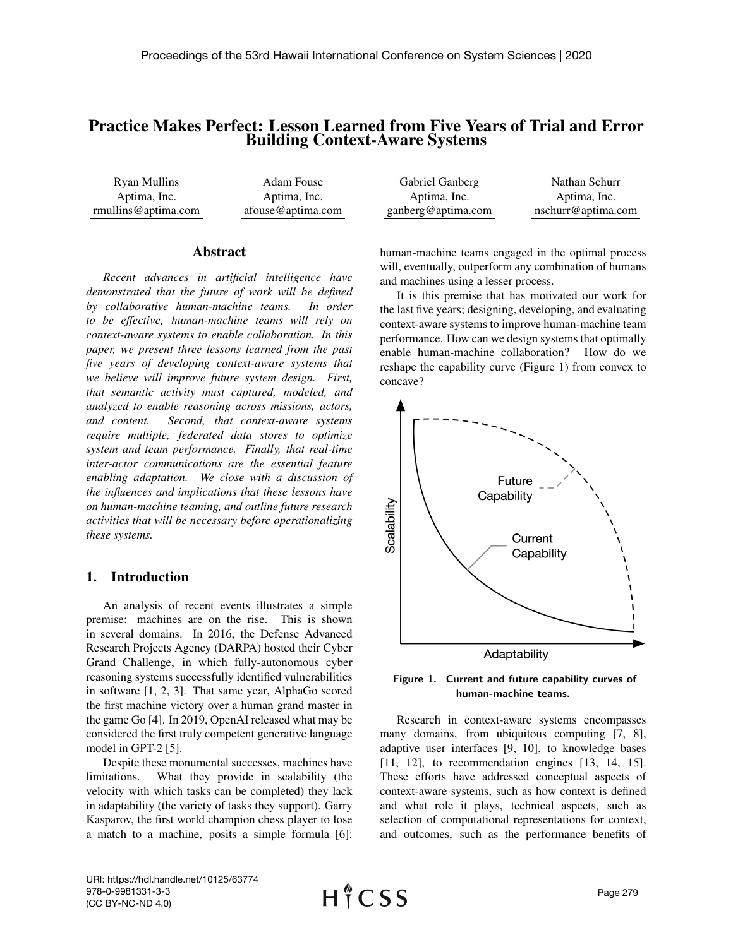# Practice Makes Perfect: Lesson Learned from Five Years of Trial and Error Building Context-Aware Systems

| Ryan Mullins        | Adam Fouse        | Gabriel Ganberg    | Nathan Schurr      |
|---------------------|-------------------|--------------------|--------------------|
| Aptima, Inc.        | Aptima, Inc.      | Aptima, Inc.       | Aptima, Inc.       |
| rmullins@aptima.com | afouse@aptima.com | ganberg@aptima.com | nschurr@aptima.com |

#### Abstract

*Recent advances in artificial intelligence have demonstrated that the future of work will be defined by collaborative human-machine teams. In order to be effective, human-machine teams will rely on context-aware systems to enable collaboration. In this paper, we present three lessons learned from the past five years of developing context-aware systems that we believe will improve future system design. First, that semantic activity must captured, modeled, and analyzed to enable reasoning across missions, actors, and content. Second, that context-aware systems require multiple, federated data stores to optimize system and team performance. Finally, that real-time inter-actor communications are the essential feature enabling adaptation. We close with a discussion of the influences and implications that these lessons have on human-machine teaming, and outline future research activities that will be necessary before operationalizing these systems.*

## 1. Introduction

An analysis of recent events illustrates a simple premise: machines are on the rise. This is shown in several domains. In 2016, the Defense Advanced Research Projects Agency (DARPA) hosted their Cyber Grand Challenge, in which fully-autonomous cyber reasoning systems successfully identified vulnerabilities in software [1, 2, 3]. That same year, AlphaGo scored the first machine victory over a human grand master in the game Go [4]. In 2019, OpenAI released what may be considered the first truly competent generative language model in GPT-2 [5].

Despite these monumental successes, machines have limitations. What they provide in scalability (the velocity with which tasks can be completed) they lack in adaptability (the variety of tasks they support). Garry Kasparov, the first world champion chess player to lose a match to a machine, posits a simple formula [6]: human-machine teams engaged in the optimal process will, eventually, outperform any combination of humans and machines using a lesser process.

It is this premise that has motivated our work for the last five years; designing, developing, and evaluating context-aware systems to improve human-machine team performance. How can we design systems that optimally enable human-machine collaboration? How do we reshape the capability curve (Figure 1) from convex to concave?



Figure 1. Current and future capability curves of human-machine teams.

Research in context-aware systems encompasses many domains, from ubiquitous computing [7, 8], adaptive user interfaces [9, 10], to knowledge bases [11, 12], to recommendation engines [13, 14, 15]. These efforts have addressed conceptual aspects of context-aware systems, such as how context is defined and what role it plays, technical aspects, such as selection of computational representations for context, and outcomes, such as the performance benefits of

URI: https://hdl.handle.net/10125/63774 978-0-9981331-3-3 (CC BY-NC-ND 4.0)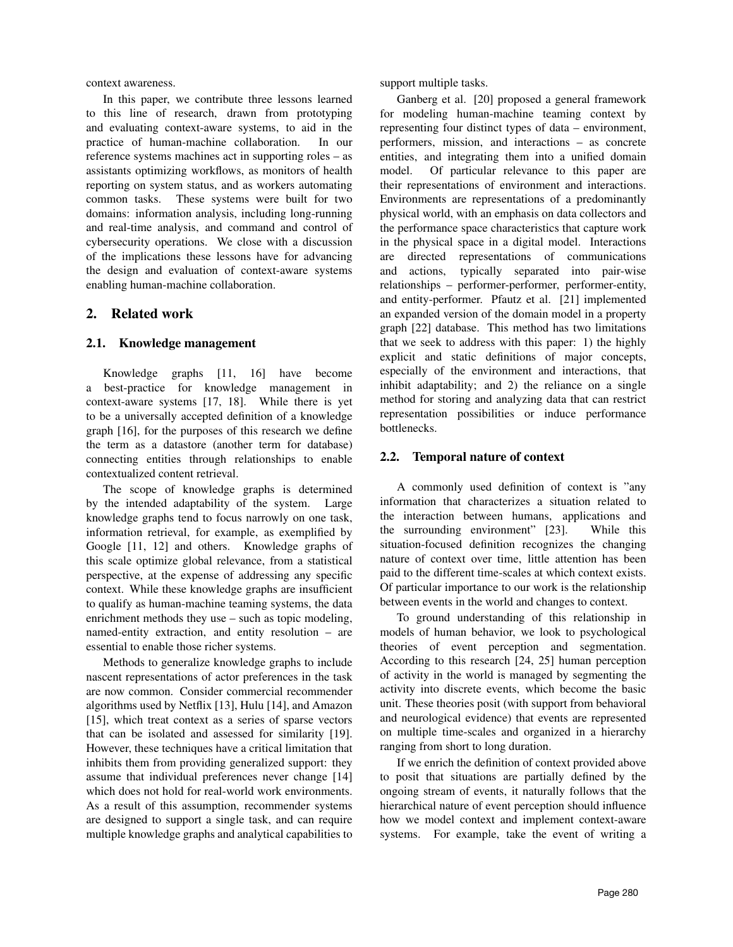context awareness.

In this paper, we contribute three lessons learned to this line of research, drawn from prototyping and evaluating context-aware systems, to aid in the practice of human-machine collaboration. In our reference systems machines act in supporting roles – as assistants optimizing workflows, as monitors of health reporting on system status, and as workers automating common tasks. These systems were built for two domains: information analysis, including long-running and real-time analysis, and command and control of cybersecurity operations. We close with a discussion of the implications these lessons have for advancing the design and evaluation of context-aware systems enabling human-machine collaboration.

#### 2. Related work

#### 2.1. Knowledge management

Knowledge graphs [11, 16] have become a best-practice for knowledge management in context-aware systems [17, 18]. While there is yet to be a universally accepted definition of a knowledge graph [16], for the purposes of this research we define the term as a datastore (another term for database) connecting entities through relationships to enable contextualized content retrieval.

The scope of knowledge graphs is determined by the intended adaptability of the system. Large knowledge graphs tend to focus narrowly on one task, information retrieval, for example, as exemplified by Google [11, 12] and others. Knowledge graphs of this scale optimize global relevance, from a statistical perspective, at the expense of addressing any specific context. While these knowledge graphs are insufficient to qualify as human-machine teaming systems, the data enrichment methods they use – such as topic modeling, named-entity extraction, and entity resolution – are essential to enable those richer systems.

Methods to generalize knowledge graphs to include nascent representations of actor preferences in the task are now common. Consider commercial recommender algorithms used by Netflix [13], Hulu [14], and Amazon [15], which treat context as a series of sparse vectors that can be isolated and assessed for similarity [19]. However, these techniques have a critical limitation that inhibits them from providing generalized support: they assume that individual preferences never change [14] which does not hold for real-world work environments. As a result of this assumption, recommender systems are designed to support a single task, and can require multiple knowledge graphs and analytical capabilities to

support multiple tasks.

Ganberg et al. [20] proposed a general framework for modeling human-machine teaming context by representing four distinct types of data – environment, performers, mission, and interactions – as concrete entities, and integrating them into a unified domain model. Of particular relevance to this paper are their representations of environment and interactions. Environments are representations of a predominantly physical world, with an emphasis on data collectors and the performance space characteristics that capture work in the physical space in a digital model. Interactions are directed representations of communications and actions, typically separated into pair-wise relationships – performer-performer, performer-entity, and entity-performer. Pfautz et al. [21] implemented an expanded version of the domain model in a property graph [22] database. This method has two limitations that we seek to address with this paper: 1) the highly explicit and static definitions of major concepts, especially of the environment and interactions, that inhibit adaptability; and 2) the reliance on a single method for storing and analyzing data that can restrict representation possibilities or induce performance bottlenecks.

#### 2.2. Temporal nature of context

A commonly used definition of context is "any information that characterizes a situation related to the interaction between humans, applications and the surrounding environment" [23]. While this situation-focused definition recognizes the changing nature of context over time, little attention has been paid to the different time-scales at which context exists. Of particular importance to our work is the relationship between events in the world and changes to context.

To ground understanding of this relationship in models of human behavior, we look to psychological theories of event perception and segmentation. According to this research [24, 25] human perception of activity in the world is managed by segmenting the activity into discrete events, which become the basic unit. These theories posit (with support from behavioral and neurological evidence) that events are represented on multiple time-scales and organized in a hierarchy ranging from short to long duration.

If we enrich the definition of context provided above to posit that situations are partially defined by the ongoing stream of events, it naturally follows that the hierarchical nature of event perception should influence how we model context and implement context-aware systems. For example, take the event of writing a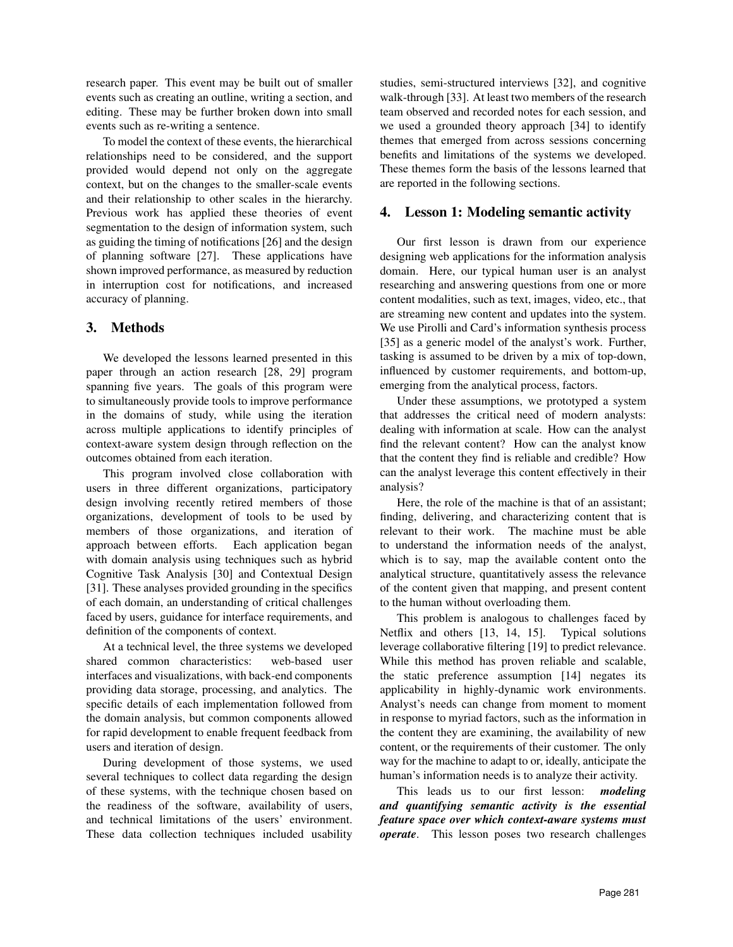research paper. This event may be built out of smaller events such as creating an outline, writing a section, and editing. These may be further broken down into small events such as re-writing a sentence.

To model the context of these events, the hierarchical relationships need to be considered, and the support provided would depend not only on the aggregate context, but on the changes to the smaller-scale events and their relationship to other scales in the hierarchy. Previous work has applied these theories of event segmentation to the design of information system, such as guiding the timing of notifications [26] and the design of planning software [27]. These applications have shown improved performance, as measured by reduction in interruption cost for notifications, and increased accuracy of planning.

# 3. Methods

We developed the lessons learned presented in this paper through an action research [28, 29] program spanning five years. The goals of this program were to simultaneously provide tools to improve performance in the domains of study, while using the iteration across multiple applications to identify principles of context-aware system design through reflection on the outcomes obtained from each iteration.

This program involved close collaboration with users in three different organizations, participatory design involving recently retired members of those organizations, development of tools to be used by members of those organizations, and iteration of approach between efforts. Each application began with domain analysis using techniques such as hybrid Cognitive Task Analysis [30] and Contextual Design [31]. These analyses provided grounding in the specifics of each domain, an understanding of critical challenges faced by users, guidance for interface requirements, and definition of the components of context.

At a technical level, the three systems we developed shared common characteristics: web-based user interfaces and visualizations, with back-end components providing data storage, processing, and analytics. The specific details of each implementation followed from the domain analysis, but common components allowed for rapid development to enable frequent feedback from users and iteration of design.

During development of those systems, we used several techniques to collect data regarding the design of these systems, with the technique chosen based on the readiness of the software, availability of users, and technical limitations of the users' environment. These data collection techniques included usability studies, semi-structured interviews [32], and cognitive walk-through [33]. At least two members of the research team observed and recorded notes for each session, and we used a grounded theory approach [34] to identify themes that emerged from across sessions concerning benefits and limitations of the systems we developed. These themes form the basis of the lessons learned that are reported in the following sections.

# 4. Lesson 1: Modeling semantic activity

Our first lesson is drawn from our experience designing web applications for the information analysis domain. Here, our typical human user is an analyst researching and answering questions from one or more content modalities, such as text, images, video, etc., that are streaming new content and updates into the system. We use Pirolli and Card's information synthesis process [35] as a generic model of the analyst's work. Further, tasking is assumed to be driven by a mix of top-down, influenced by customer requirements, and bottom-up, emerging from the analytical process, factors.

Under these assumptions, we prototyped a system that addresses the critical need of modern analysts: dealing with information at scale. How can the analyst find the relevant content? How can the analyst know that the content they find is reliable and credible? How can the analyst leverage this content effectively in their analysis?

Here, the role of the machine is that of an assistant; finding, delivering, and characterizing content that is relevant to their work. The machine must be able to understand the information needs of the analyst, which is to say, map the available content onto the analytical structure, quantitatively assess the relevance of the content given that mapping, and present content to the human without overloading them.

This problem is analogous to challenges faced by Netflix and others [13, 14, 15]. Typical solutions leverage collaborative filtering [19] to predict relevance. While this method has proven reliable and scalable, the static preference assumption [14] negates its applicability in highly-dynamic work environments. Analyst's needs can change from moment to moment in response to myriad factors, such as the information in the content they are examining, the availability of new content, or the requirements of their customer. The only way for the machine to adapt to or, ideally, anticipate the human's information needs is to analyze their activity.

This leads us to our first lesson: *modeling and quantifying semantic activity is the essential feature space over which context-aware systems must operate*. This lesson poses two research challenges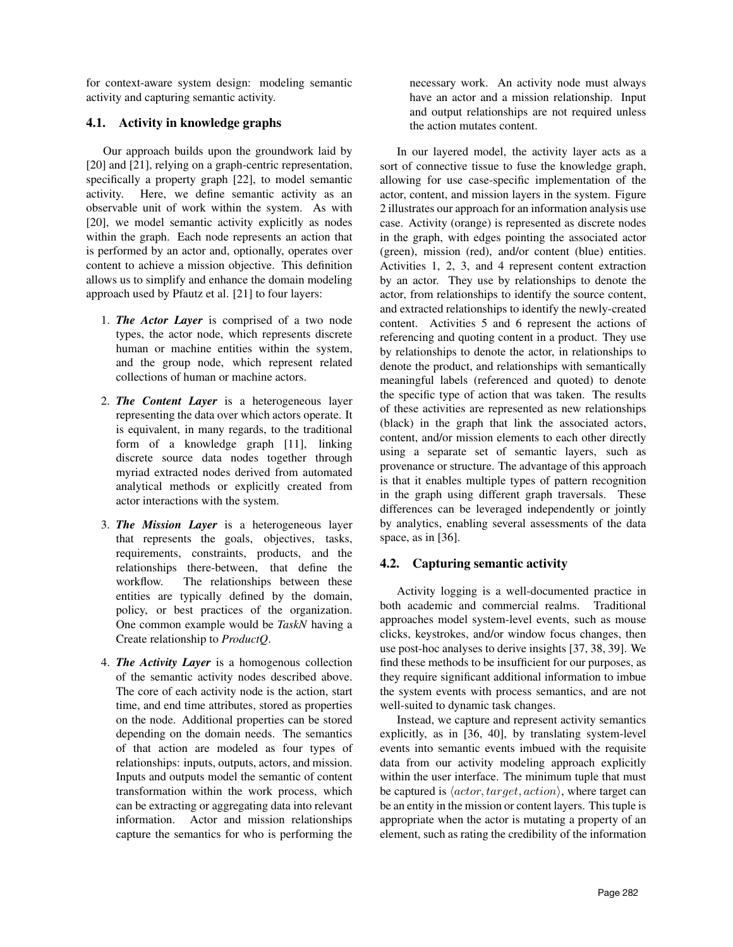for context-aware system design: modeling semantic activity and capturing semantic activity.

# 4.1. Activity in knowledge graphs

Our approach builds upon the groundwork laid by [20] and [21], relying on a graph-centric representation, specifically a property graph [22], to model semantic activity. Here, we define semantic activity as an observable unit of work within the system. As with [20], we model semantic activity explicitly as nodes within the graph. Each node represents an action that is performed by an actor and, optionally, operates over content to achieve a mission objective. This definition allows us to simplify and enhance the domain modeling approach used by Pfautz et al. [21] to four layers:

- 1. *The Actor Layer* is comprised of a two node types, the actor node, which represents discrete human or machine entities within the system, and the group node, which represent related collections of human or machine actors.
- 2. *The Content Layer* is a heterogeneous layer representing the data over which actors operate. It is equivalent, in many regards, to the traditional form of a knowledge graph [11], linking discrete source data nodes together through myriad extracted nodes derived from automated analytical methods or explicitly created from actor interactions with the system.
- 3. *The Mission Layer* is a heterogeneous layer that represents the goals, objectives, tasks, requirements, constraints, products, and the relationships there-between, that define the workflow. The relationships between these entities are typically defined by the domain, policy, or best practices of the organization. One common example would be *TaskN* having a Create relationship to *ProductQ*.
- 4. *The Activity Layer* is a homogenous collection of the semantic activity nodes described above. The core of each activity node is the action, start time, and end time attributes, stored as properties on the node. Additional properties can be stored depending on the domain needs. The semantics of that action are modeled as four types of relationships: inputs, outputs, actors, and mission. Inputs and outputs model the semantic of content transformation within the work process, which can be extracting or aggregating data into relevant information. Actor and mission relationships capture the semantics for who is performing the

necessary work. An activity node must always have an actor and a mission relationship. Input and output relationships are not required unless the action mutates content.

In our layered model, the activity layer acts as a sort of connective tissue to fuse the knowledge graph, allowing for use case-specific implementation of the actor, content, and mission layers in the system. Figure 2 illustrates our approach for an information analysis use case. Activity (orange) is represented as discrete nodes in the graph, with edges pointing the associated actor (green), mission (red), and/or content (blue) entities. Activities 1, 2, 3, and 4 represent content extraction by an actor. They use by relationships to denote the actor, from relationships to identify the source content, and extracted relationships to identify the newly-created content. Activities 5 and 6 represent the actions of referencing and quoting content in a product. They use by relationships to denote the actor, in relationships to denote the product, and relationships with semantically meaningful labels (referenced and quoted) to denote the specific type of action that was taken. The results of these activities are represented as new relationships (black) in the graph that link the associated actors, content, and/or mission elements to each other directly using a separate set of semantic layers, such as provenance or structure. The advantage of this approach is that it enables multiple types of pattern recognition in the graph using different graph traversals. These differences can be leveraged independently or jointly by analytics, enabling several assessments of the data space, as in [36].

# 4.2. Capturing semantic activity

Activity logging is a well-documented practice in both academic and commercial realms. Traditional approaches model system-level events, such as mouse clicks, keystrokes, and/or window focus changes, then use post-hoc analyses to derive insights [37, 38, 39]. We find these methods to be insufficient for our purposes, as they require significant additional information to imbue the system events with process semantics, and are not well-suited to dynamic task changes.

Instead, we capture and represent activity semantics explicitly, as in [36, 40], by translating system-level events into semantic events imbued with the requisite data from our activity modeling approach explicitly within the user interface. The minimum tuple that must be captured is  $\langle actor, target, action \rangle$ , where target can be an entity in the mission or content layers. This tuple is appropriate when the actor is mutating a property of an element, such as rating the credibility of the information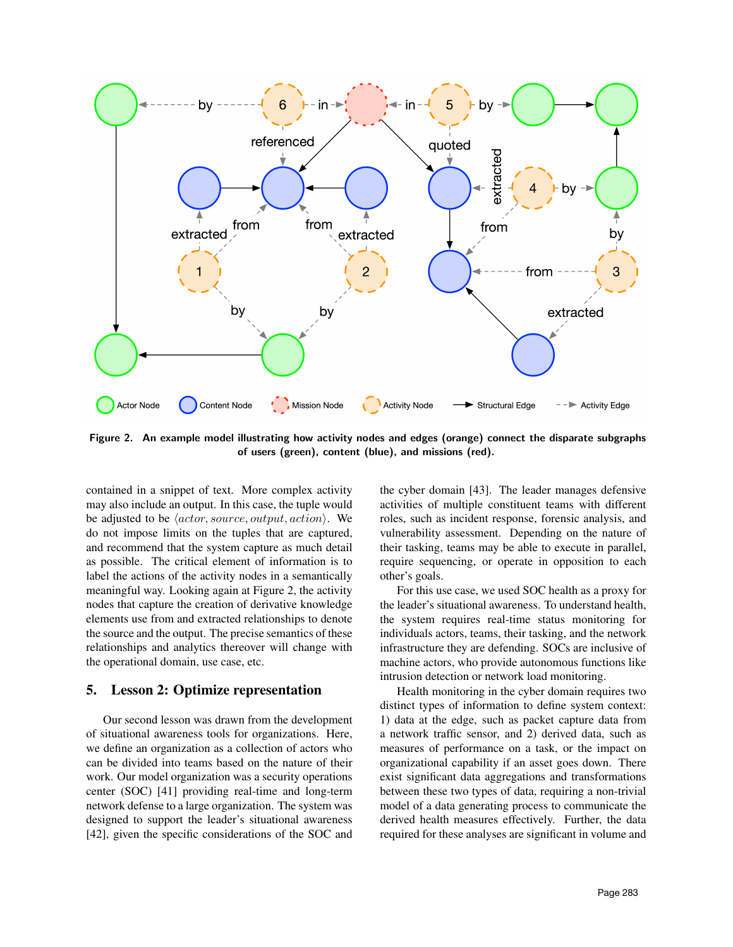

Figure 2. An example model illustrating how activity nodes and edges (orange) connect the disparate subgraphs of users (green), content (blue), and missions (red).

contained in a snippet of text. More complex activity may also include an output. In this case, the tuple would be adjusted to be  $\langle actor, source, output, action \rangle$ . We do not impose limits on the tuples that are captured, and recommend that the system capture as much detail as possible. The critical element of information is to label the actions of the activity nodes in a semantically meaningful way. Looking again at Figure 2, the activity nodes that capture the creation of derivative knowledge elements use from and extracted relationships to denote the source and the output. The precise semantics of these relationships and analytics thereover will change with the operational domain, use case, etc.

## 5. Lesson 2: Optimize representation

Our second lesson was drawn from the development of situational awareness tools for organizations. Here, we define an organization as a collection of actors who can be divided into teams based on the nature of their work. Our model organization was a security operations center (SOC) [41] providing real-time and long-term network defense to a large organization. The system was designed to support the leader's situational awareness [42], given the specific considerations of the SOC and

the cyber domain [43]. The leader manages defensive activities of multiple constituent teams with different roles, such as incident response, forensic analysis, and vulnerability assessment. Depending on the nature of their tasking, teams may be able to execute in parallel, require sequencing, or operate in opposition to each other's goals.

For this use case, we used SOC health as a proxy for the leader's situational awareness. To understand health, the system requires real-time status monitoring for individuals actors, teams, their tasking, and the network infrastructure they are defending. SOCs are inclusive of machine actors, who provide autonomous functions like intrusion detection or network load monitoring.

Health monitoring in the cyber domain requires two distinct types of information to define system context: 1) data at the edge, such as packet capture data from a network traffic sensor, and 2) derived data, such as measures of performance on a task, or the impact on organizational capability if an asset goes down. There exist significant data aggregations and transformations between these two types of data, requiring a non-trivial model of a data generating process to communicate the derived health measures effectively. Further, the data required for these analyses are significant in volume and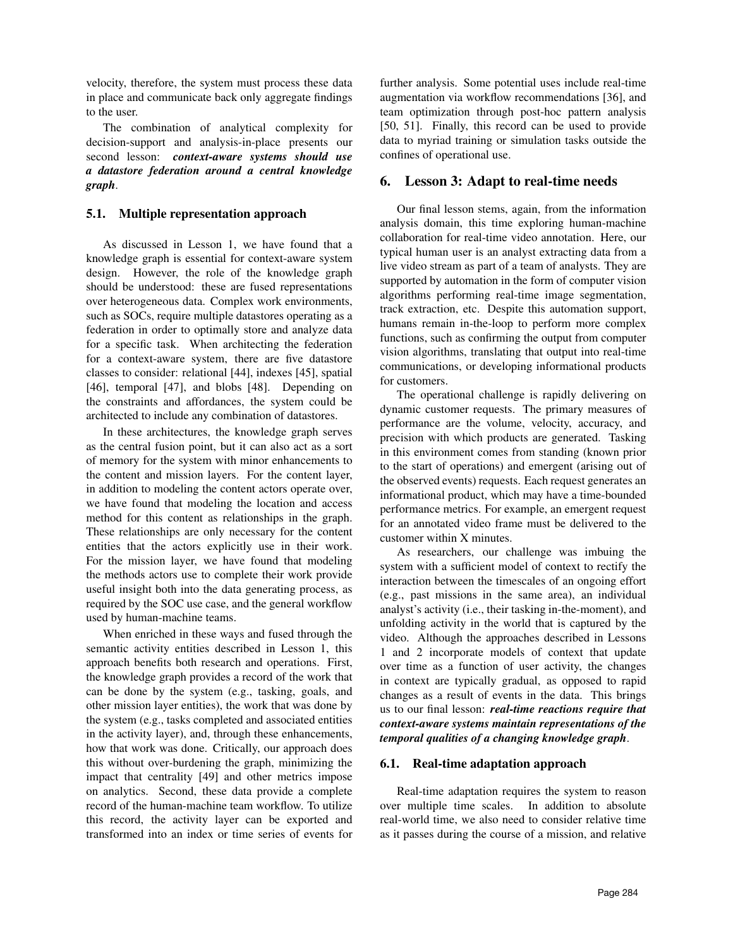velocity, therefore, the system must process these data in place and communicate back only aggregate findings to the user.

The combination of analytical complexity for decision-support and analysis-in-place presents our second lesson: *context-aware systems should use a datastore federation around a central knowledge graph*.

## 5.1. Multiple representation approach

As discussed in Lesson 1, we have found that a knowledge graph is essential for context-aware system design. However, the role of the knowledge graph should be understood: these are fused representations over heterogeneous data. Complex work environments, such as SOCs, require multiple datastores operating as a federation in order to optimally store and analyze data for a specific task. When architecting the federation for a context-aware system, there are five datastore classes to consider: relational [44], indexes [45], spatial [46], temporal [47], and blobs [48]. Depending on the constraints and affordances, the system could be architected to include any combination of datastores.

In these architectures, the knowledge graph serves as the central fusion point, but it can also act as a sort of memory for the system with minor enhancements to the content and mission layers. For the content layer, in addition to modeling the content actors operate over, we have found that modeling the location and access method for this content as relationships in the graph. These relationships are only necessary for the content entities that the actors explicitly use in their work. For the mission layer, we have found that modeling the methods actors use to complete their work provide useful insight both into the data generating process, as required by the SOC use case, and the general workflow used by human-machine teams.

When enriched in these ways and fused through the semantic activity entities described in Lesson 1, this approach benefits both research and operations. First, the knowledge graph provides a record of the work that can be done by the system (e.g., tasking, goals, and other mission layer entities), the work that was done by the system (e.g., tasks completed and associated entities in the activity layer), and, through these enhancements, how that work was done. Critically, our approach does this without over-burdening the graph, minimizing the impact that centrality [49] and other metrics impose on analytics. Second, these data provide a complete record of the human-machine team workflow. To utilize this record, the activity layer can be exported and transformed into an index or time series of events for further analysis. Some potential uses include real-time augmentation via workflow recommendations [36], and team optimization through post-hoc pattern analysis [50, 51]. Finally, this record can be used to provide data to myriad training or simulation tasks outside the confines of operational use.

### 6. Lesson 3: Adapt to real-time needs

Our final lesson stems, again, from the information analysis domain, this time exploring human-machine collaboration for real-time video annotation. Here, our typical human user is an analyst extracting data from a live video stream as part of a team of analysts. They are supported by automation in the form of computer vision algorithms performing real-time image segmentation, track extraction, etc. Despite this automation support, humans remain in-the-loop to perform more complex functions, such as confirming the output from computer vision algorithms, translating that output into real-time communications, or developing informational products for customers.

The operational challenge is rapidly delivering on dynamic customer requests. The primary measures of performance are the volume, velocity, accuracy, and precision with which products are generated. Tasking in this environment comes from standing (known prior to the start of operations) and emergent (arising out of the observed events) requests. Each request generates an informational product, which may have a time-bounded performance metrics. For example, an emergent request for an annotated video frame must be delivered to the customer within X minutes.

As researchers, our challenge was imbuing the system with a sufficient model of context to rectify the interaction between the timescales of an ongoing effort (e.g., past missions in the same area), an individual analyst's activity (i.e., their tasking in-the-moment), and unfolding activity in the world that is captured by the video. Although the approaches described in Lessons 1 and 2 incorporate models of context that update over time as a function of user activity, the changes in context are typically gradual, as opposed to rapid changes as a result of events in the data. This brings us to our final lesson: *real-time reactions require that context-aware systems maintain representations of the temporal qualities of a changing knowledge graph*.

#### 6.1. Real-time adaptation approach

Real-time adaptation requires the system to reason over multiple time scales. In addition to absolute real-world time, we also need to consider relative time as it passes during the course of a mission, and relative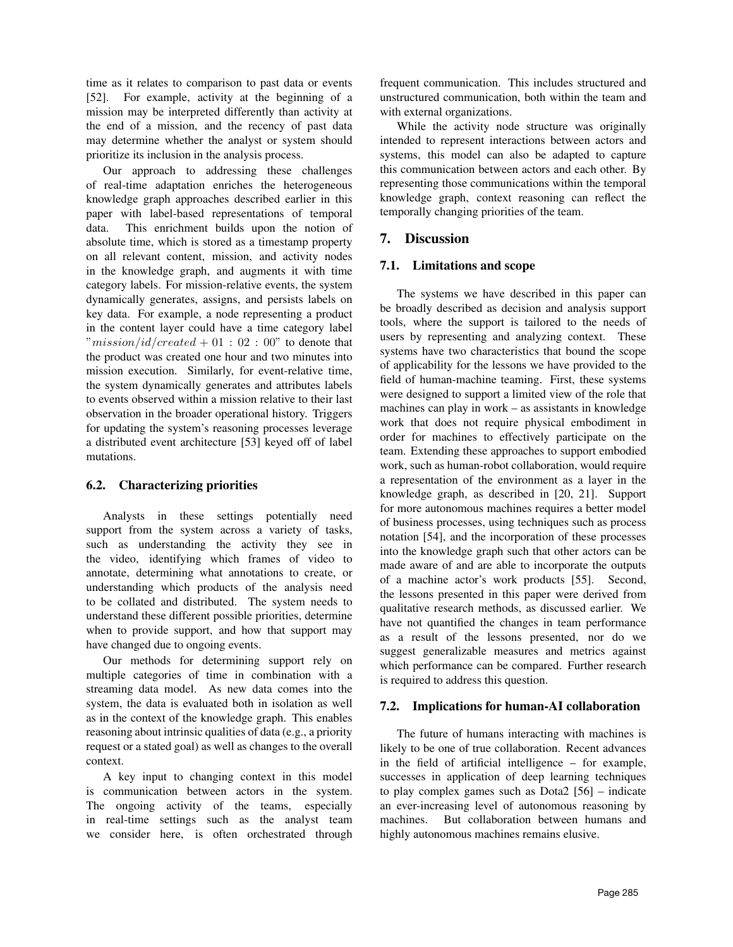time as it relates to comparison to past data or events [52]. For example, activity at the beginning of a mission may be interpreted differently than activity at the end of a mission, and the recency of past data may determine whether the analyst or system should prioritize its inclusion in the analysis process.

Our approach to addressing these challenges of real-time adaptation enriches the heterogeneous knowledge graph approaches described earlier in this paper with label-based representations of temporal data. This enrichment builds upon the notion of absolute time, which is stored as a timestamp property on all relevant content, mission, and activity nodes in the knowledge graph, and augments it with time category labels. For mission-relative events, the system dynamically generates, assigns, and persists labels on key data. For example, a node representing a product in the content layer could have a time category label  $"mission/id/created + 01 : 02 : 00"$  to denote that the product was created one hour and two minutes into mission execution. Similarly, for event-relative time, the system dynamically generates and attributes labels to events observed within a mission relative to their last observation in the broader operational history. Triggers for updating the system's reasoning processes leverage a distributed event architecture [53] keyed off of label mutations.

# 6.2. Characterizing priorities

Analysts in these settings potentially need support from the system across a variety of tasks, such as understanding the activity they see in the video, identifying which frames of video to annotate, determining what annotations to create, or understanding which products of the analysis need to be collated and distributed. The system needs to understand these different possible priorities, determine when to provide support, and how that support may have changed due to ongoing events.

Our methods for determining support rely on multiple categories of time in combination with a streaming data model. As new data comes into the system, the data is evaluated both in isolation as well as in the context of the knowledge graph. This enables reasoning about intrinsic qualities of data (e.g., a priority request or a stated goal) as well as changes to the overall context.

A key input to changing context in this model is communication between actors in the system. The ongoing activity of the teams, especially in real-time settings such as the analyst team we consider here, is often orchestrated through

frequent communication. This includes structured and unstructured communication, both within the team and with external organizations.

While the activity node structure was originally intended to represent interactions between actors and systems, this model can also be adapted to capture this communication between actors and each other. By representing those communications within the temporal knowledge graph, context reasoning can reflect the temporally changing priorities of the team.

# 7. Discussion

#### 7.1. Limitations and scope

The systems we have described in this paper can be broadly described as decision and analysis support tools, where the support is tailored to the needs of users by representing and analyzing context. These systems have two characteristics that bound the scope of applicability for the lessons we have provided to the field of human-machine teaming. First, these systems were designed to support a limited view of the role that machines can play in work – as assistants in knowledge work that does not require physical embodiment in order for machines to effectively participate on the team. Extending these approaches to support embodied work, such as human-robot collaboration, would require a representation of the environment as a layer in the knowledge graph, as described in [20, 21]. Support for more autonomous machines requires a better model of business processes, using techniques such as process notation [54], and the incorporation of these processes into the knowledge graph such that other actors can be made aware of and are able to incorporate the outputs of a machine actor's work products [55]. Second, the lessons presented in this paper were derived from qualitative research methods, as discussed earlier. We have not quantified the changes in team performance as a result of the lessons presented, nor do we suggest generalizable measures and metrics against which performance can be compared. Further research is required to address this question.

#### 7.2. Implications for human-AI collaboration

The future of humans interacting with machines is likely to be one of true collaboration. Recent advances in the field of artificial intelligence – for example, successes in application of deep learning techniques to play complex games such as Dota2 [56] – indicate an ever-increasing level of autonomous reasoning by machines. But collaboration between humans and highly autonomous machines remains elusive.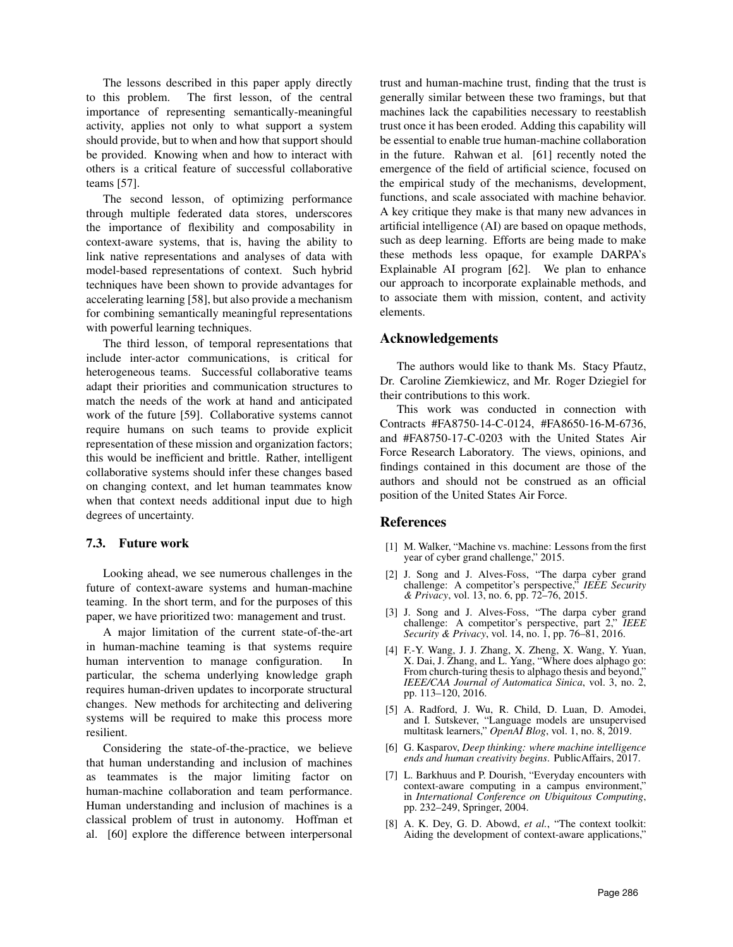The lessons described in this paper apply directly to this problem. The first lesson, of the central importance of representing semantically-meaningful activity, applies not only to what support a system should provide, but to when and how that support should be provided. Knowing when and how to interact with others is a critical feature of successful collaborative teams [57].

The second lesson, of optimizing performance through multiple federated data stores, underscores the importance of flexibility and composability in context-aware systems, that is, having the ability to link native representations and analyses of data with model-based representations of context. Such hybrid techniques have been shown to provide advantages for accelerating learning [58], but also provide a mechanism for combining semantically meaningful representations with powerful learning techniques.

The third lesson, of temporal representations that include inter-actor communications, is critical for heterogeneous teams. Successful collaborative teams adapt their priorities and communication structures to match the needs of the work at hand and anticipated work of the future [59]. Collaborative systems cannot require humans on such teams to provide explicit representation of these mission and organization factors; this would be inefficient and brittle. Rather, intelligent collaborative systems should infer these changes based on changing context, and let human teammates know when that context needs additional input due to high degrees of uncertainty.

#### 7.3. Future work

Looking ahead, we see numerous challenges in the future of context-aware systems and human-machine teaming. In the short term, and for the purposes of this paper, we have prioritized two: management and trust.

A major limitation of the current state-of-the-art in human-machine teaming is that systems require human intervention to manage configuration. In particular, the schema underlying knowledge graph requires human-driven updates to incorporate structural changes. New methods for architecting and delivering systems will be required to make this process more resilient.

Considering the state-of-the-practice, we believe that human understanding and inclusion of machines as teammates is the major limiting factor on human-machine collaboration and team performance. Human understanding and inclusion of machines is a classical problem of trust in autonomy. Hoffman et al. [60] explore the difference between interpersonal trust and human-machine trust, finding that the trust is generally similar between these two framings, but that machines lack the capabilities necessary to reestablish trust once it has been eroded. Adding this capability will be essential to enable true human-machine collaboration in the future. Rahwan et al. [61] recently noted the emergence of the field of artificial science, focused on the empirical study of the mechanisms, development, functions, and scale associated with machine behavior. A key critique they make is that many new advances in artificial intelligence (AI) are based on opaque methods, such as deep learning. Efforts are being made to make these methods less opaque, for example DARPA's Explainable AI program [62]. We plan to enhance our approach to incorporate explainable methods, and to associate them with mission, content, and activity elements.

### Acknowledgements

The authors would like to thank Ms. Stacy Pfautz, Dr. Caroline Ziemkiewicz, and Mr. Roger Dziegiel for their contributions to this work.

This work was conducted in connection with Contracts #FA8750-14-C-0124, #FA8650-16-M-6736, and #FA8750-17-C-0203 with the United States Air Force Research Laboratory. The views, opinions, and findings contained in this document are those of the authors and should not be construed as an official position of the United States Air Force.

### References

- [1] M. Walker, "Machine vs. machine: Lessons from the first year of cyber grand challenge," 2015.
- [2] J. Song and J. Alves-Foss, "The darpa cyber grand challenge: A competitor's perspective," *IEEE Security & Privacy*, vol. 13, no. 6, pp. 72–76, 2015.
- [3] J. Song and J. Alves-Foss, "The darpa cyber grand challenge: A competitor's perspective, part 2," *IEEE Security & Privacy*, vol. 14, no. 1, pp. 76–81, 2016.
- [4] F.-Y. Wang, J. J. Zhang, X. Zheng, X. Wang, Y. Yuan, X. Dai, J. Zhang, and L. Yang, "Where does alphago go: From church-turing thesis to alphago thesis and beyond," *IEEE/CAA Journal of Automatica Sinica*, vol. 3, no. 2, pp. 113–120, 2016.
- [5] A. Radford, J. Wu, R. Child, D. Luan, D. Amodei, and I. Sutskever, "Language models are unsupervised multitask learners," *OpenAI Blog*, vol. 1, no. 8, 2019.
- [6] G. Kasparov, *Deep thinking: where machine intelligence ends and human creativity begins*. PublicAffairs, 2017.
- [7] L. Barkhuus and P. Dourish, "Everyday encounters with context-aware computing in a campus environment," in *International Conference on Ubiquitous Computing*, pp. 232–249, Springer, 2004.
- [8] A. K. Dey, G. D. Abowd, et al., "The context toolkit: Aiding the development of context-aware applications,"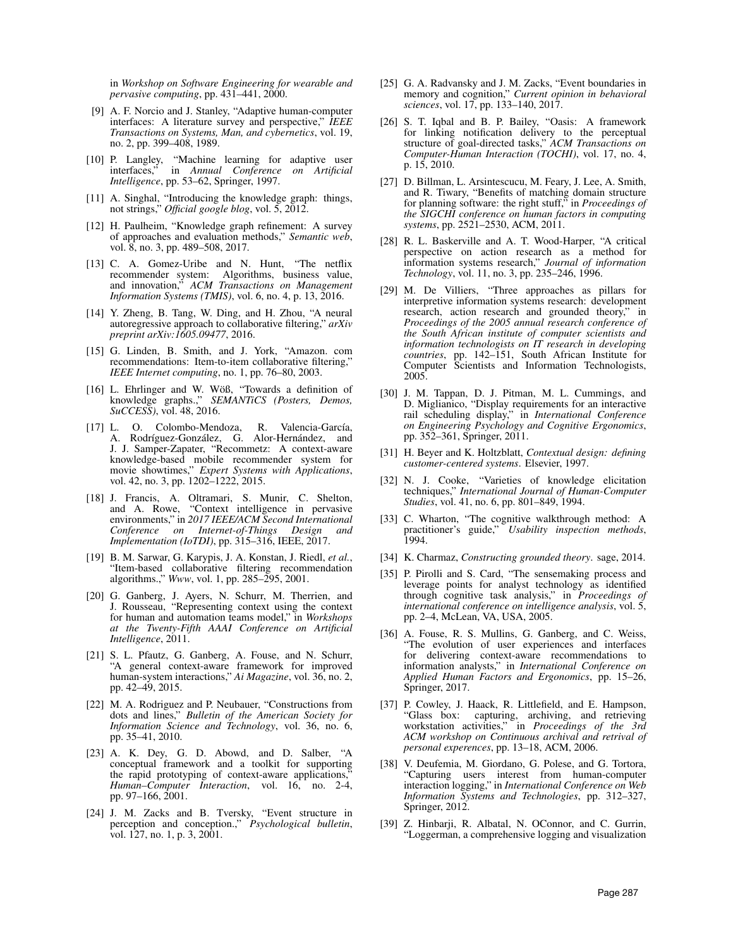in *Workshop on Software Engineering for wearable and pervasive computing*, pp. 431–441, 2000.

- [9] A. F. Norcio and J. Stanley, "Adaptive human-computer interfaces: A literature survey and perspective," *IEEE Transactions on Systems, Man, and cybernetics*, vol. 19, no. 2, pp. 399–408, 1989.
- [10] P. Langley, "Machine learning for adaptive user interfaces," in *Annual Conference on Artificial Intelligence*, pp. 53–62, Springer, 1997.
- [11] A. Singhal, "Introducing the knowledge graph: things, not strings," *Official google blog*, vol. 5, 2012.
- [12] H. Paulheim, "Knowledge graph refinement: A survey of approaches and evaluation methods," *Semantic web*, vol. 8, no. 3, pp. 489–508, 2017.
- [13] C. A. Gomez-Uribe and N. Hunt, "The netflix recommender system: Algorithms, business value, and innovation," *ACM Transactions on Management Information Systems (TMIS)*, vol. 6, no. 4, p. 13, 2016.
- [14] Y. Zheng, B. Tang, W. Ding, and H. Zhou, "A neural autoregressive approach to collaborative filtering," *arXiv preprint arXiv:1605.09477*, 2016.
- [15] G. Linden, B. Smith, and J. York, "Amazon. com recommendations: Item-to-item collaborative filtering," *IEEE Internet computing*, no. 1, pp. 76–80, 2003.
- [16] L. Ehrlinger and W. Wöß, "Towards a definition of knowledge graphs.," *SEMANTiCS (Posters, Demos, SuCCESS)*, vol. 48, 2016.
- [17] L. O. Colombo-Mendoza, R. Valencia-García, A. Rodríguez-González, G. Alor-Hernández, and J. J. Samper-Zapater, "Recommetz: A context-aware knowledge-based mobile recommender system for movie showtimes," *Expert Systems with Applications*, vol. 42, no. 3, pp. 1202–1222, 2015.
- [18] J. Francis, A. Oltramari, S. Munir, C. Shelton, and A. Rowe, "Context intelligence in pervasive environments," in *2017 IEEE/ACM Second International Conference on Internet-of-Things Design and Implementation (IoTDI)*, pp. 315–316, IEEE, 2017.
- [19] B. M. Sarwar, G. Karypis, J. A. Konstan, J. Riedl, *et al.*, "Item-based collaborative filtering recommendation algorithms.," *Www*, vol. 1, pp. 285–295, 2001.
- [20] G. Ganberg, J. Ayers, N. Schurr, M. Therrien, and J. Rousseau, "Representing context using the context for human and automation teams model," in *Workshops at the Twenty-Fifth AAAI Conference on Artificial Intelligence*, 2011.
- [21] S. L. Pfautz, G. Ganberg, A. Fouse, and N. Schurr, "A general context-aware framework for improved human-system interactions," *Ai Magazine*, vol. 36, no. 2, pp. 42–49, 2015.
- [22] M. A. Rodriguez and P. Neubauer, "Constructions from dots and lines," *Bulletin of the American Society for Information Science and Technology*, vol. 36, no. 6, pp. 35–41, 2010.
- [23] A. K. Dey, G. D. Abowd, and D. Salber, "A conceptual framework and a toolkit for supporting the rapid prototyping of context-aware applications, *Human–Computer Interaction*, vol. 16, no. 2-4, pp. 97–166, 2001.
- [24] J. M. Zacks and B. Tversky, "Event structure in perception and conception.," *Psychological bulletin*, vol. 127, no. 1, p. 3, 2001.
- [25] G. A. Radvansky and J. M. Zacks, "Event boundaries in memory and cognition," *Current opinion in behavioral sciences*, vol. 17, pp. 133–140, 2017.
- [26] S. T. Iqbal and B. P. Bailey, "Oasis: A framework for linking notification delivery to the perceptual structure of goal-directed tasks," *ACM Transactions on Computer-Human Interaction (TOCHI)*, vol. 17, no. 4, p. 15, 2010.
- [27] D. Billman, L. Arsintescucu, M. Feary, J. Lee, A. Smith, and R. Tiwary, "Benefits of matching domain structure for planning software: the right stuff," in *Proceedings of the SIGCHI conference on human factors in computing systems*, pp. 2521–2530, ACM, 2011.
- [28] R. L. Baskerville and A. T. Wood-Harper, "A critical perspective on action research as a method for information systems research," *Journal of information Technology*, vol. 11, no. 3, pp. 235–246, 1996.
- [29] M. De Villiers, "Three approaches as pillars for interpretive information systems research: development research, action research and grounded theory," in *Proceedings of the 2005 annual research conference of the South African institute of computer scientists and information technologists on IT research in developing countries*, pp. 142–151, South African Institute for Computer Scientists and Information Technologists, 2005.
- [30] J. M. Tappan, D. J. Pitman, M. L. Cummings, and D. Miglianico, "Display requirements for an interactive rail scheduling display," in *International Conference on Engineering Psychology and Cognitive Ergonomics*, pp. 352–361, Springer, 2011.
- [31] H. Beyer and K. Holtzblatt, *Contextual design: defining customer-centered systems*. Elsevier, 1997.
- [32] N. J. Cooke, "Varieties of knowledge elicitation techniques," *International Journal of Human-Computer Studies*, vol. 41, no. 6, pp. 801–849, 1994.
- [33] C. Wharton, "The cognitive walkthrough method: A practitioner's guide," *Usability inspection methods*, 1994.
- [34] K. Charmaz, *Constructing grounded theory*. sage, 2014.
- [35] P. Pirolli and S. Card, "The sensemaking process and leverage points for analyst technology as identified through cognitive task analysis," in *Proceedings of international conference on intelligence analysis*, vol. 5, pp. 2–4, McLean, VA, USA, 2005.
- [36] A. Fouse, R. S. Mullins, G. Ganberg, and C. Weiss, "The evolution of user experiences and interfaces for delivering context-aware recommendations to information analysts," in *International Conference on Applied Human Factors and Ergonomics*, pp. 15–26, Springer, 2017.
- [37] P. Cowley, J. Haack, R. Littlefield, and E. Hampson, "Glass box: capturing, archiving, and retrieving workstation activities," in *Proceedings of the 3rd ACM workshop on Continuous archival and retrival of personal experences*, pp. 13–18, ACM, 2006.
- [38] V. Deufemia, M. Giordano, G. Polese, and G. Tortora, "Capturing users interest from human-computer interaction logging," in *International Conference on Web Information Systems and Technologies*, pp. 312–327, Springer, 2012.
- [39] Z. Hinbarji, R. Albatal, N. OConnor, and C. Gurrin, "Loggerman, a comprehensive logging and visualization